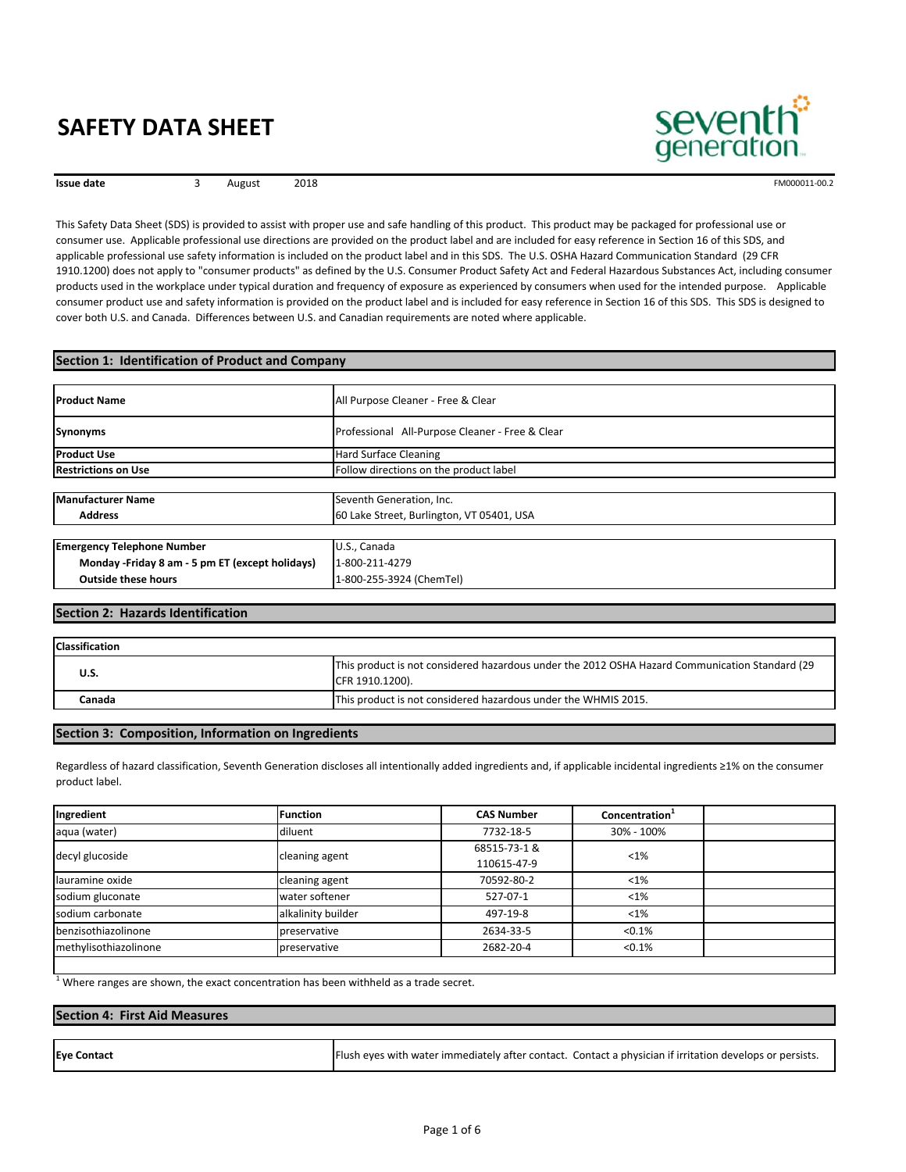

3 August 2018

**Issue date EXECUTE 3** August 2018 **FM000011-00.2 FM000011-00.2** 

This Safety Data Sheet (SDS) is provided to assist with proper use and safe handling of this product. This product may be packaged for professional use or consumer use. Applicable professional use directions are provided on the product label and are included for easy reference in Section 16 of this SDS, and applicable professional use safety information is included on the product label and in this SDS. The U.S. OSHA Hazard Communication Standard (29 CFR 1910.1200) does not apply to "consumer products" as defined by the U.S. Consumer Product Safety Act and Federal Hazardous Substances Act, including consumer products used in the workplace under typical duration and frequency of exposure as experienced by consumers when used for the intended purpose. Applicable consumer product use and safety information is provided on the product label and is included for easy reference in Section 16 of this SDS. This SDS is designed to cover both U.S. and Canada. Differences between U.S. and Canadian requirements are noted where applicable.

#### **Section 1: Identification of Product and Company**

| <b>IProduct Name</b>                             | All Purpose Cleaner - Free & Clear              |
|--------------------------------------------------|-------------------------------------------------|
| <b>Synonyms</b>                                  | Professional All-Purpose Cleaner - Free & Clear |
| <b>Product Use</b>                               | <b>Hard Surface Cleaning</b>                    |
| <b>Restrictions on Use</b>                       | Follow directions on the product label          |
|                                                  |                                                 |
| <b>Manufacturer Name</b>                         | Seventh Generation, Inc.                        |
| <b>Address</b>                                   | 60 Lake Street, Burlington, VT 05401, USA       |
|                                                  |                                                 |
| <b>Emergency Telephone Number</b>                | U.S., Canada                                    |
| Monday - Friday 8 am - 5 pm ET (except holidays) | 1-800-211-4279                                  |
| <b>Outside these hours</b>                       | 1-800-255-3924 (ChemTel)                        |

#### **Section 2: Hazards Identification**

| <b>Classification</b> |                                                                                                                   |
|-----------------------|-------------------------------------------------------------------------------------------------------------------|
| U.S.                  | This product is not considered hazardous under the 2012 OSHA Hazard Communication Standard (29<br>CFR 1910.1200). |
| Canada                | This product is not considered hazardous under the WHMIS 2015.                                                    |

#### **Section 3: Composition, Information on Ingredients**

Regardless of hazard classification, Seventh Generation discloses all intentionally added ingredients and, if applicable incidental ingredients ≥1% on the consumer product label.

| Ingredient            | <b>Function</b>    | <b>CAS Number</b>           | Concentration <sup>1</sup> |  |
|-----------------------|--------------------|-----------------------------|----------------------------|--|
| aqua (water)          | diluent            | 7732-18-5                   | 30% - 100%                 |  |
| decyl glucoside       | cleaning agent     | 68515-73-1 &<br>110615-47-9 | $< 1\%$                    |  |
| lauramine oxide       | cleaning agent     | 70592-80-2                  | $< 1\%$                    |  |
| sodium gluconate      | water softener     | 527-07-1                    | $< 1\%$                    |  |
| sodium carbonate      | alkalinity builder | 497-19-8                    | $< 1\%$                    |  |
| benzisothiazolinone   | preservative       | 2634-33-5                   | < 0.1%                     |  |
| methylisothiazolinone | preservative       | 2682-20-4                   | < 0.1%                     |  |

 $1$  Where ranges are shown, the exact concentration has been withheld as a trade secret.

#### **Section 4: First Aid Measures**

| <b>Eye Contact</b> |  | Flush eyes with water immediately after contact. Contact a physician if irritation develops or persists. |
|--------------------|--|----------------------------------------------------------------------------------------------------------|
|--------------------|--|----------------------------------------------------------------------------------------------------------|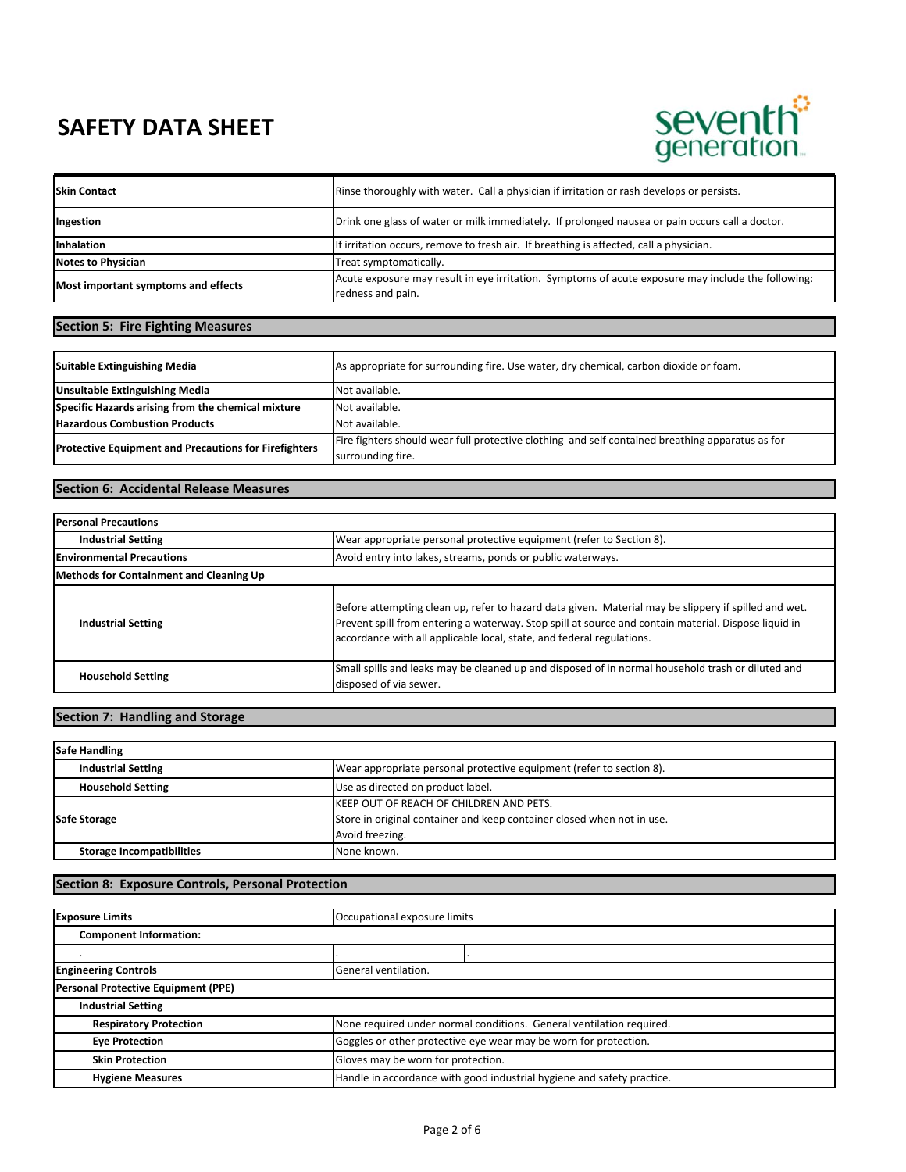# seventh<sup>3</sup><br>generation.

| <b>Skin Contact</b>                 | Rinse thoroughly with water. Call a physician if irritation or rash develops or persists.                               |
|-------------------------------------|-------------------------------------------------------------------------------------------------------------------------|
| Ingestion                           | Drink one glass of water or milk immediately. If prolonged nausea or pain occurs call a doctor.                         |
| <b>Inhalation</b>                   | If irritation occurs, remove to fresh air. If breathing is affected, call a physician.                                  |
| <b>Notes to Physician</b>           | Treat symptomatically.                                                                                                  |
| Most important symptoms and effects | Acute exposure may result in eye irritation. Symptoms of acute exposure may include the following:<br>redness and pain. |

## **Section 5: Fire Fighting Measures**

| <b>Suitable Extinguishing Media</b>                          | As appropriate for surrounding fire. Use water, dry chemical, carbon dioxide or foam.            |
|--------------------------------------------------------------|--------------------------------------------------------------------------------------------------|
| <b>Unsuitable Extinguishing Media</b>                        | Not available.                                                                                   |
| Specific Hazards arising from the chemical mixture           | Not available.                                                                                   |
| <b>Hazardous Combustion Products</b>                         | Not available.                                                                                   |
| <b>Protective Equipment and Precautions for Firefighters</b> | Fire fighters should wear full protective clothing and self contained breathing apparatus as for |
|                                                              | surrounding fire.                                                                                |

## **Section 6: Accidental Release Measures**

| <b>Personal Precautions</b>             |                                                                                                                                                                                                                                                                                       |  |
|-----------------------------------------|---------------------------------------------------------------------------------------------------------------------------------------------------------------------------------------------------------------------------------------------------------------------------------------|--|
| <b>Industrial Setting</b>               | Wear appropriate personal protective equipment (refer to Section 8).                                                                                                                                                                                                                  |  |
| <b>Environmental Precautions</b>        | Avoid entry into lakes, streams, ponds or public waterways.                                                                                                                                                                                                                           |  |
| Methods for Containment and Cleaning Up |                                                                                                                                                                                                                                                                                       |  |
| <b>Industrial Setting</b>               | Before attempting clean up, refer to hazard data given. Material may be slippery if spilled and wet.<br>Prevent spill from entering a waterway. Stop spill at source and contain material. Dispose liquid in<br>accordance with all applicable local, state, and federal regulations. |  |
| <b>Household Setting</b>                | Small spills and leaks may be cleaned up and disposed of in normal household trash or diluted and<br>disposed of via sewer.                                                                                                                                                           |  |

## **Section 7: Handling and Storage**

| <b>Safe Handling</b>             |                                                                                                                                              |
|----------------------------------|----------------------------------------------------------------------------------------------------------------------------------------------|
| <b>Industrial Setting</b>        | Wear appropriate personal protective equipment (refer to section 8).                                                                         |
| <b>Household Setting</b>         | Use as directed on product label.                                                                                                            |
| <b>Safe Storage</b>              | <b>IKEEP OUT OF REACH OF CHILDREN AND PETS.</b><br>Store in original container and keep container closed when not in use.<br>Avoid freezing. |
| <b>Storage Incompatibilities</b> | None known.                                                                                                                                  |

## **Section 8: Exposure Controls, Personal Protection**

| <b>Exposure Limits</b>              | Occupational exposure limits                                           |                                                                      |
|-------------------------------------|------------------------------------------------------------------------|----------------------------------------------------------------------|
| <b>Component Information:</b>       |                                                                        |                                                                      |
|                                     |                                                                        |                                                                      |
| <b>Engineering Controls</b>         | General ventilation.                                                   |                                                                      |
| Personal Protective Equipment (PPE) |                                                                        |                                                                      |
| <b>Industrial Setting</b>           |                                                                        |                                                                      |
| <b>Respiratory Protection</b>       |                                                                        | None required under normal conditions. General ventilation required. |
| <b>Eye Protection</b>               | Goggles or other protective eye wear may be worn for protection.       |                                                                      |
| <b>Skin Protection</b>              | Gloves may be worn for protection.                                     |                                                                      |
| <b>Hygiene Measures</b>             | Handle in accordance with good industrial hygiene and safety practice. |                                                                      |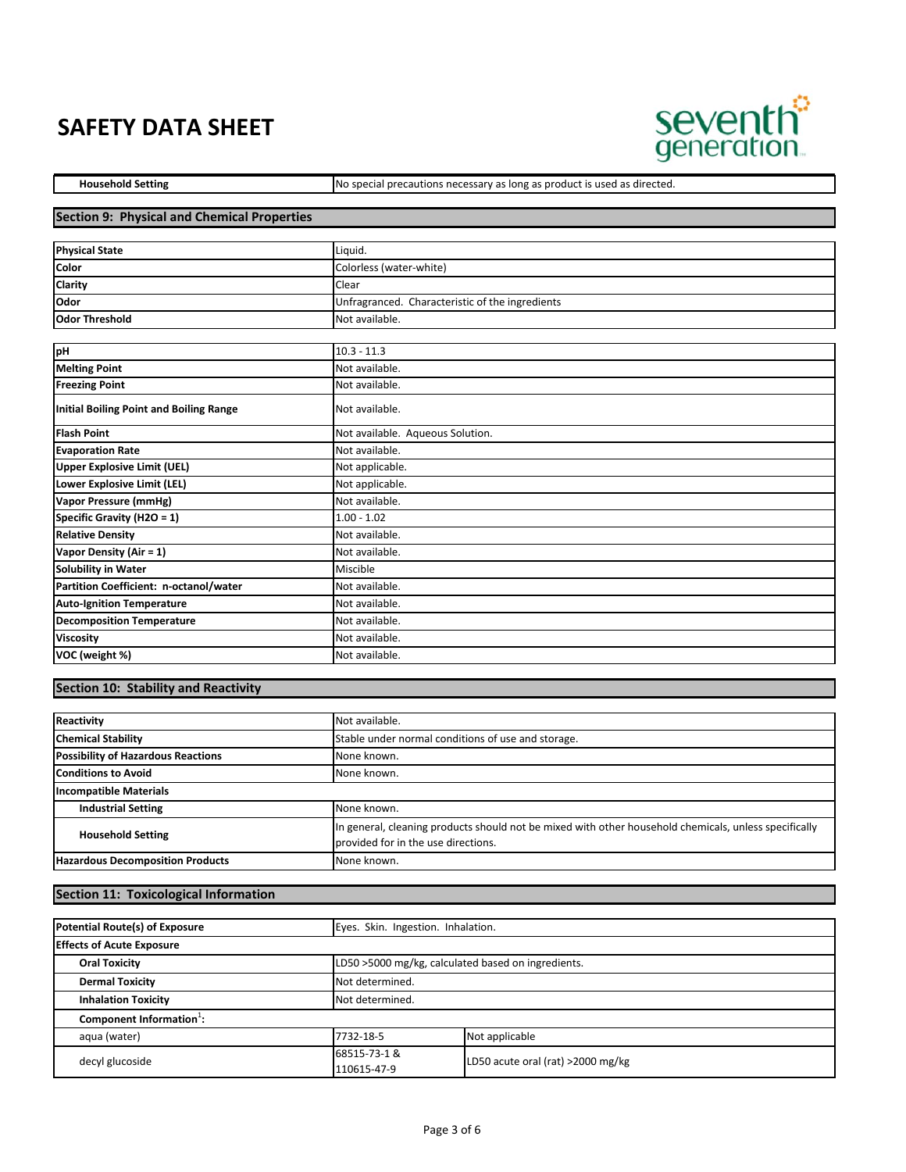

Household Setting **No special precautions necessary as long as product is used as directed.** 

#### **Section 9: Physical and Chemical Properties**

| <b>Physical State</b> | Liguid.                                         |
|-----------------------|-------------------------------------------------|
| Color                 | Colorless (water-white)                         |
| <b>Clarity</b>        | Clear                                           |
| Odor                  | Unfragranced. Characteristic of the ingredients |
| <b>Odor Threshold</b> | Not available.                                  |

| pH                                      | $10.3 - 11.3$                    |
|-----------------------------------------|----------------------------------|
| <b>Melting Point</b>                    | Not available.                   |
| <b>Freezing Point</b>                   | Not available.                   |
| Initial Boiling Point and Boiling Range | Not available.                   |
| <b>Flash Point</b>                      | Not available. Aqueous Solution. |
| <b>Evaporation Rate</b>                 | Not available.                   |
| Upper Explosive Limit (UEL)             | Not applicable.                  |
| Lower Explosive Limit (LEL)             | Not applicable.                  |
| Vapor Pressure (mmHg)                   | Not available.                   |
| Specific Gravity (H2O = 1)              | $1.00 - 1.02$                    |
| <b>Relative Density</b>                 | Not available.                   |
| Vapor Density (Air = 1)                 | Not available.                   |
| <b>Solubility in Water</b>              | Miscible                         |
| Partition Coefficient: n-octanol/water  | Not available.                   |
| <b>Auto-Ignition Temperature</b>        | Not available.                   |
| <b>Decomposition Temperature</b>        | Not available.                   |
| <b>Viscosity</b>                        | Not available.                   |
| VOC (weight %)                          | Not available.                   |

## **Section 10: Stability and Reactivity**

| Reactivity                                | Not available.                                                                                                                               |
|-------------------------------------------|----------------------------------------------------------------------------------------------------------------------------------------------|
| <b>Chemical Stability</b>                 | Stable under normal conditions of use and storage.                                                                                           |
| <b>Possibility of Hazardous Reactions</b> | None known.                                                                                                                                  |
| <b>Conditions to Avoid</b>                | None known.                                                                                                                                  |
| <b>Incompatible Materials</b>             |                                                                                                                                              |
| <b>Industrial Setting</b>                 | None known.                                                                                                                                  |
| <b>Household Setting</b>                  | In general, cleaning products should not be mixed with other household chemicals, unless specifically<br>provided for in the use directions. |
| <b>Hazardous Decomposition Products</b>   | None known.                                                                                                                                  |

## **Section 11: Toxicological Information**

| Potential Route(s) of Exposure       | Eyes. Skin. Ingestion. Inhalation. |                                                    |
|--------------------------------------|------------------------------------|----------------------------------------------------|
| <b>Effects of Acute Exposure</b>     |                                    |                                                    |
| <b>Oral Toxicity</b>                 |                                    | LD50 >5000 mg/kg, calculated based on ingredients. |
| <b>Dermal Toxicity</b>               | Not determined.                    |                                                    |
| <b>Inhalation Toxicity</b>           | Not determined.                    |                                                    |
| Component Information <sup>1</sup> : |                                    |                                                    |
| aqua (water)                         | 7732-18-5                          | Not applicable                                     |
| decyl glucoside                      | 68515-73-1 &<br>110615-47-9        | LD50 acute oral (rat) >2000 mg/kg                  |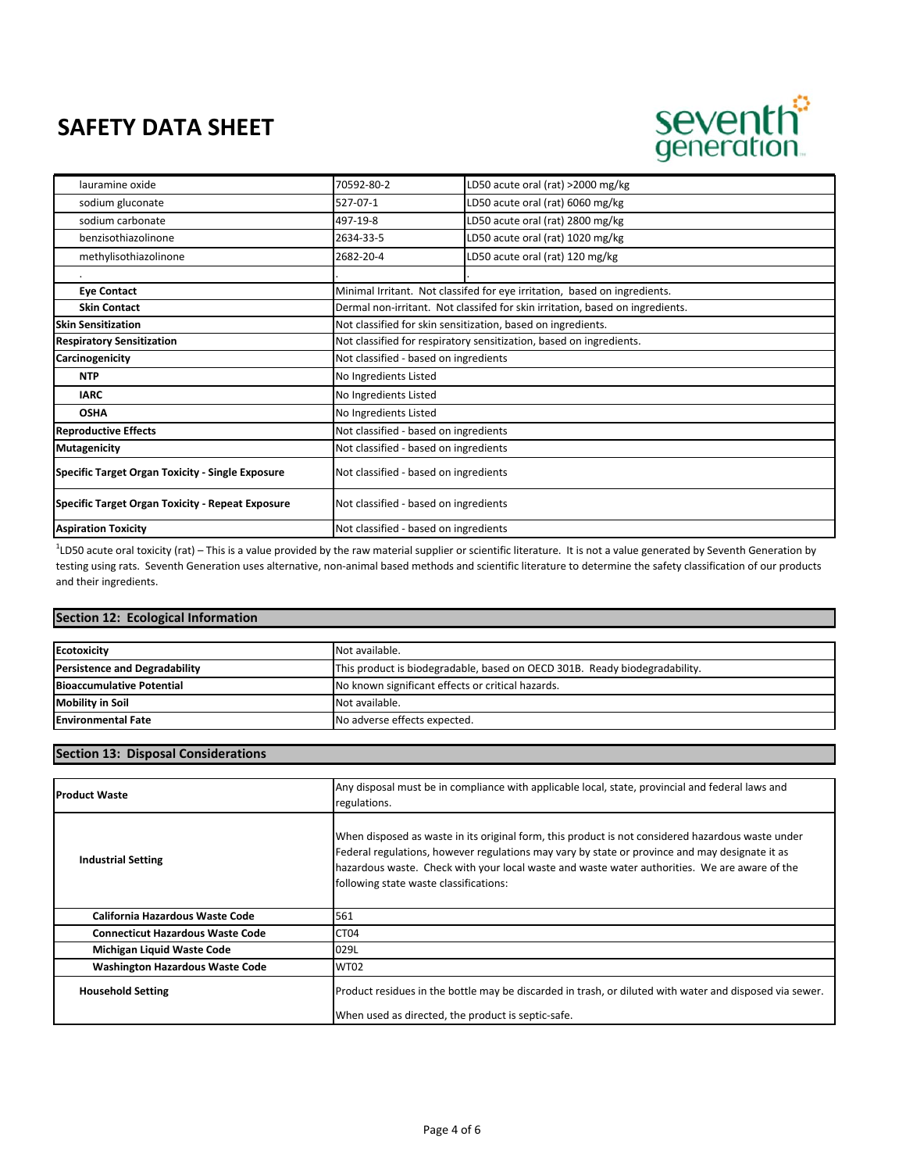

| lauramine oxide                                         | 70592-80-2                            | LD50 acute oral (rat) >2000 mg/kg                                             |
|---------------------------------------------------------|---------------------------------------|-------------------------------------------------------------------------------|
| sodium gluconate                                        | 527-07-1                              | LD50 acute oral (rat) 6060 mg/kg                                              |
| sodium carbonate                                        | 497-19-8                              | LD50 acute oral (rat) 2800 mg/kg                                              |
| benzisothiazolinone                                     | 2634-33-5                             | LD50 acute oral (rat) 1020 mg/kg                                              |
| methylisothiazolinone                                   | 2682-20-4                             | LD50 acute oral (rat) 120 mg/kg                                               |
|                                                         |                                       |                                                                               |
| <b>Eye Contact</b>                                      |                                       | Minimal Irritant. Not classifed for eye irritation, based on ingredients.     |
| <b>Skin Contact</b>                                     |                                       | Dermal non-irritant. Not classifed for skin irritation, based on ingredients. |
| <b>Skin Sensitization</b>                               |                                       | Not classified for skin sensitization, based on ingredients.                  |
| <b>Respiratory Sensitization</b>                        |                                       | Not classified for respiratory sensitization, based on ingredients.           |
| Carcinogenicity                                         | Not classified - based on ingredients |                                                                               |
| <b>NTP</b>                                              | No Ingredients Listed                 |                                                                               |
| <b>IARC</b>                                             | No Ingredients Listed                 |                                                                               |
| <b>OSHA</b>                                             | No Ingredients Listed                 |                                                                               |
| <b>Reproductive Effects</b>                             | Not classified - based on ingredients |                                                                               |
| <b>Mutagenicity</b>                                     | Not classified - based on ingredients |                                                                               |
| <b>Specific Target Organ Toxicity - Single Exposure</b> | Not classified - based on ingredients |                                                                               |
| <b>Specific Target Organ Toxicity - Repeat Exposure</b> | Not classified - based on ingredients |                                                                               |
| <b>Aspiration Toxicity</b>                              | Not classified - based on ingredients |                                                                               |

<sup>1</sup>LD50 acute oral toxicity (rat) – This is a value provided by the raw material supplier or scientific literature. It is not a value generated by Seventh Generation by testing using rats. Seventh Generation uses alternative, non‐animal based methods and scientific literature to determine the safety classification of our products and their ingredients.

#### **Section 12: Ecological Information**

| <b>Ecotoxicity</b>                   | Not available.                                                             |
|--------------------------------------|----------------------------------------------------------------------------|
| <b>Persistence and Degradability</b> | This product is biodegradable, based on OECD 301B. Ready biodegradability. |
| <b>Bioaccumulative Potential</b>     | No known significant effects or critical hazards.                          |
| <b>Mobility in Soil</b>              | Not available.                                                             |
| <b>Environmental Fate</b>            | No adverse effects expected.                                               |

#### **Section 13: Disposal Considerations**

| <b>Product Waste</b>                    | Any disposal must be in compliance with applicable local, state, provincial and federal laws and<br>regulations.                                                                                                                                                                                                                               |
|-----------------------------------------|------------------------------------------------------------------------------------------------------------------------------------------------------------------------------------------------------------------------------------------------------------------------------------------------------------------------------------------------|
| <b>Industrial Setting</b>               | When disposed as waste in its original form, this product is not considered hazardous waste under<br>Federal regulations, however regulations may vary by state or province and may designate it as<br>hazardous waste. Check with your local waste and waste water authorities. We are aware of the<br>following state waste classifications: |
| California Hazardous Waste Code         | 561                                                                                                                                                                                                                                                                                                                                            |
| <b>Connecticut Hazardous Waste Code</b> | CT <sub>04</sub>                                                                                                                                                                                                                                                                                                                               |
| Michigan Liquid Waste Code              | 029L                                                                                                                                                                                                                                                                                                                                           |
| <b>Washington Hazardous Waste Code</b>  | <b>WT02</b>                                                                                                                                                                                                                                                                                                                                    |
| <b>Household Setting</b>                | Product residues in the bottle may be discarded in trash, or diluted with water and disposed via sewer.<br>When used as directed, the product is septic-safe.                                                                                                                                                                                  |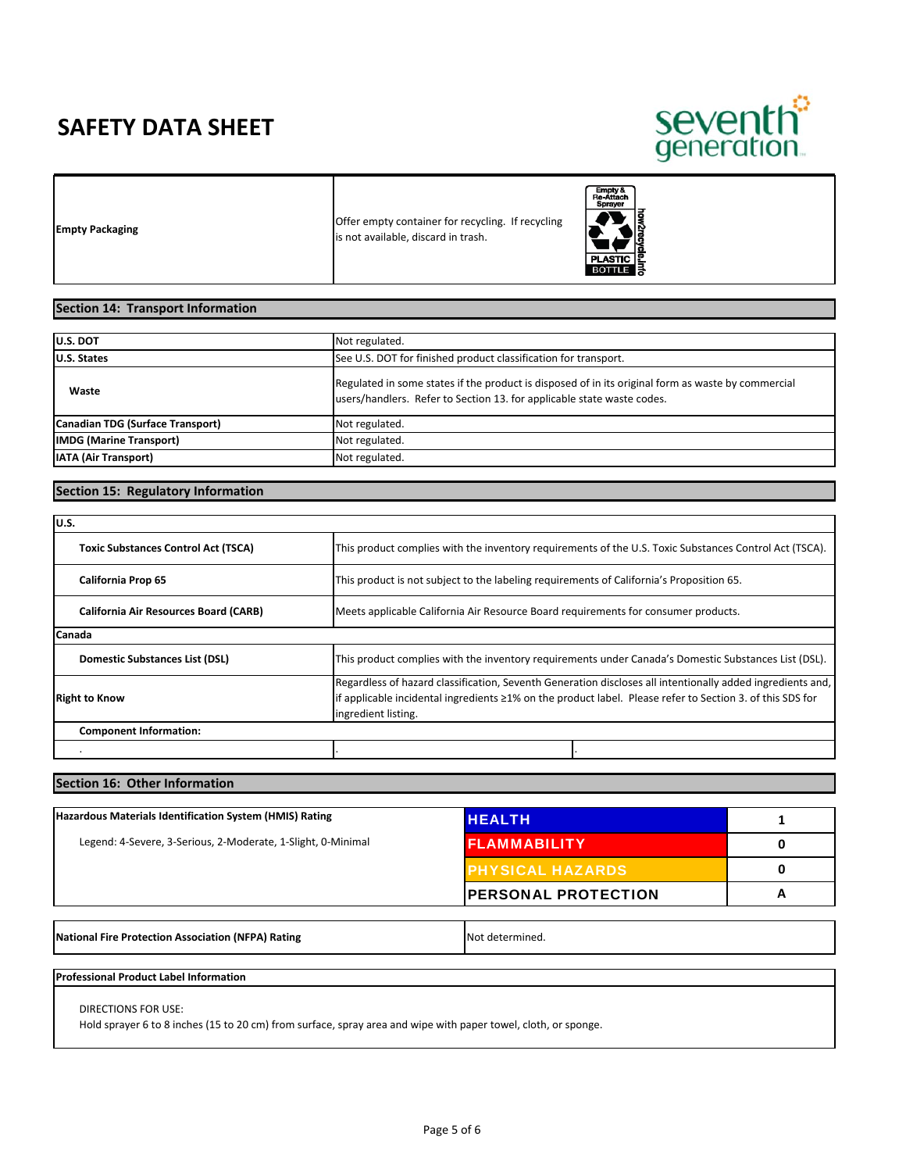

**Empty Packaging Empty Packaging Container for recycling Empty Packaging Container for recycling** is not available, discard in trash.



## **Section 14: Transport Information**

| <b>U.S. DOT</b>                  | Not regulated.                                                                                                                                                               |
|----------------------------------|------------------------------------------------------------------------------------------------------------------------------------------------------------------------------|
| U.S. States                      | See U.S. DOT for finished product classification for transport.                                                                                                              |
| Waste                            | Regulated in some states if the product is disposed of in its original form as waste by commercial<br>users/handlers. Refer to Section 13. for applicable state waste codes. |
| Canadian TDG (Surface Transport) | Not regulated.                                                                                                                                                               |
| <b>IMDG</b> (Marine Transport)   | Not regulated.                                                                                                                                                               |
| <b>IATA (Air Transport)</b>      | Not regulated.                                                                                                                                                               |

## **Section 15: Regulatory Information**

| lu.s.                                        |                                                                                                                                                                                                                                                 |  |
|----------------------------------------------|-------------------------------------------------------------------------------------------------------------------------------------------------------------------------------------------------------------------------------------------------|--|
| <b>Toxic Substances Control Act (TSCA)</b>   | This product complies with the inventory requirements of the U.S. Toxic Substances Control Act (TSCA).                                                                                                                                          |  |
| <b>California Prop 65</b>                    | This product is not subject to the labeling requirements of California's Proposition 65.                                                                                                                                                        |  |
| <b>California Air Resources Board (CARB)</b> | Meets applicable California Air Resource Board requirements for consumer products.                                                                                                                                                              |  |
| <b>Canada</b>                                |                                                                                                                                                                                                                                                 |  |
| Domestic Substances List (DSL)               | This product complies with the inventory requirements under Canada's Domestic Substances List (DSL).                                                                                                                                            |  |
| <b>Right to Know</b>                         | Regardless of hazard classification, Seventh Generation discloses all intentionally added ingredients and,<br>lif applicable incidental ingredients ≥1% on the product label. Please refer to Section 3. of this SDS for<br>ingredient listing. |  |
| <b>Component Information:</b>                |                                                                                                                                                                                                                                                 |  |
|                                              |                                                                                                                                                                                                                                                 |  |

#### **Section 16: Other Information**

| Hazardous Materials Identification System (HMIS) Rating      | <b>IHEALTH</b>              |   |
|--------------------------------------------------------------|-----------------------------|---|
| Legend: 4-Severe, 3-Serious, 2-Moderate, 1-Slight, 0-Minimal | <b>FLAMMABILITY</b>         |   |
|                                                              | <b>PHYSICAL HAZARDS</b>     |   |
|                                                              | <b>IPERSONAL PROTECTION</b> | A |

**National Fire Protection Association (NFPA) Rating <b>National Protection Association (NFPA) Rating**  Not determined.

#### **Professional Product Label Information**

DIRECTIONS FOR USE:

Hold sprayer 6 to 8 inches (15 to 20 cm) from surface, spray area and wipe with paper towel, cloth, or sponge.